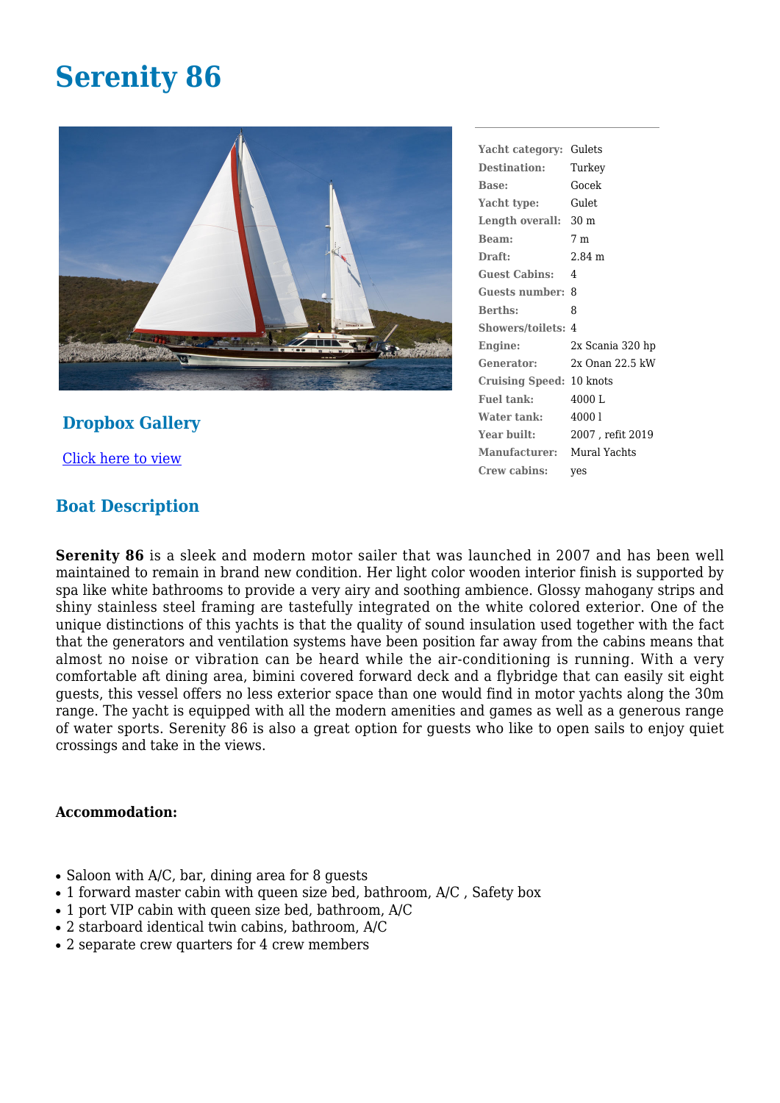## **Serenity 86**



**Dropbox Gallery**

[Click here to view](https://www.dropbox.com/sh/72zx5pim6ug6mma/AACbVqSzPIxAKhJhMPQVZCEfa?dl=0)

## **Boat Description**

| Yacht category: Gulets          |                   |
|---------------------------------|-------------------|
| Destination: Turkey             |                   |
| <b>Base:</b>                    | Gocek             |
| Yacht type:                     | Gulet             |
| Length overall: 30 m            |                   |
| Beam:                           | 7 m               |
| Draft:                          | 2.84 <sub>m</sub> |
| <b>Guest Cabins: 4</b>          |                   |
| Guests number: 8                |                   |
| <b>Berths:</b>                  | 8                 |
| <b>Showers/toilets: 4</b>       |                   |
| Engine:                         | 2x Scania 320 hp  |
| Generator:                      | 2x Onan 22.5 kW   |
| <b>Cruising Speed: 10 knots</b> |                   |
| <b>Fuel tank:</b>               | 4000L             |
| Water tank:                     | 40001             |
| Year built:                     | 2007, refit 2019  |
| Manufacturer: Mural Yachts      |                   |
| Crew cabins:                    | yes               |

**Serenity 86** is a sleek and modern motor sailer that was launched in 2007 and has been well maintained to remain in brand new condition. Her light color wooden interior finish is supported by spa like white bathrooms to provide a very airy and soothing ambience. Glossy mahogany strips and shiny stainless steel framing are tastefully integrated on the white colored exterior. One of the unique distinctions of this yachts is that the quality of sound insulation used together with the fact that the generators and ventilation systems have been position far away from the cabins means that almost no noise or vibration can be heard while the air-conditioning is running. With a very comfortable aft dining area, bimini covered forward deck and a flybridge that can easily sit eight guests, this vessel offers no less exterior space than one would find in motor yachts along the 30m range. The yacht is equipped with all the modern amenities and games as well as a generous range of water sports. Serenity 86 is also a great option for guests who like to open sails to enjoy quiet crossings and take in the views.

## **Accommodation:**

- $\bullet$  Saloon with A/C, bar, dining area for 8 quests
- 1 forward master cabin with queen size bed, bathroom, A/C, Safety box
- $\bullet$  1 port VIP cabin with queen size bed, bathroom, A/C
- 2 starboard identical twin cabins, bathroom, A/C
- 2 separate crew quarters for 4 crew members